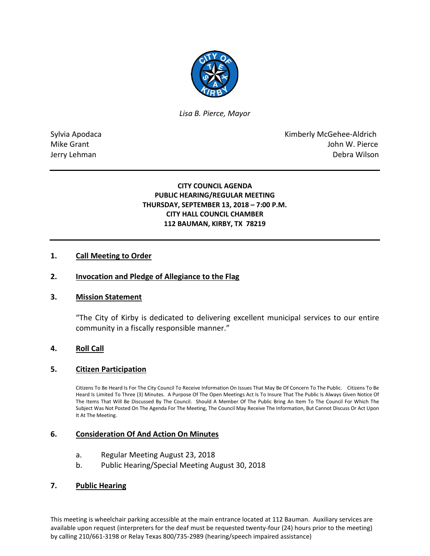

*Lisa B. Pierce, Mayor* 

Sylvia Apodaca National According Control of American Control of Kimberly McGehee-Aldrich Mike Grant **John W. Pierce** Jerry Lehman Debra Wilson

## **CITY COUNCIL AGENDA PUBLIC HEARING/REGULAR MEETING THURSDAY, SEPTEMBER 13, 2018 – 7:00 P.M. CITY HALL COUNCIL CHAMBER 112 BAUMAN, KIRBY, TX 78219**

## **1. Call Meeting to Order**

### **2. Invocation and Pledge of Allegiance to the Flag**

#### **3. Mission Statement**

"The City of Kirby is dedicated to delivering excellent municipal services to our entire community in a fiscally responsible manner."

## **4. Roll Call**

#### **5. Citizen Participation**

Citizens To Be Heard Is For The City Council To Receive Information On Issues That May Be Of Concern To The Public. Citizens To Be Heard Is Limited To Three (3) Minutes. A Purpose Of The Open Meetings Act Is To Insure That The Public Is Always Given Notice Of The Items That Will Be Discussed By The Council. Should A Member Of The Public Bring An Item To The Council For Which The Subject Was Not Posted On The Agenda For The Meeting, The Council May Receive The Information, But Cannot Discuss Or Act Upon It At The Meeting.

### **6. Consideration Of And Action On Minutes**

- a. Regular Meeting August 23, 2018
- b. Public Hearing/Special Meeting August 30, 2018

### **7. Public Hearing**

This meeting is wheelchair parking accessible at the main entrance located at 112 Bauman. Auxiliary services are available upon request (interpreters for the deaf must be requested twenty-four (24) hours prior to the meeting) by calling 210/661-3198 or Relay Texas 800/735-2989 (hearing/speech impaired assistance)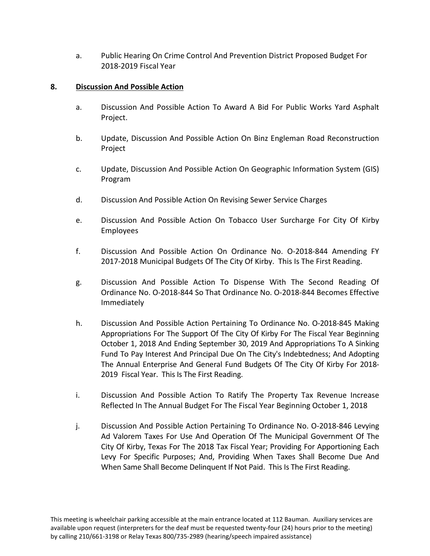a. Public Hearing On Crime Control And Prevention District Proposed Budget For 2018-2019 Fiscal Year

# **8. Discussion And Possible Action**

- a. Discussion And Possible Action To Award A Bid For Public Works Yard Asphalt Project.
- b. Update, Discussion And Possible Action On Binz Engleman Road Reconstruction Project
- c. Update, Discussion And Possible Action On Geographic Information System (GIS) Program
- d. Discussion And Possible Action On Revising Sewer Service Charges
- e. Discussion And Possible Action On Tobacco User Surcharge For City Of Kirby Employees
- f. Discussion And Possible Action On Ordinance No. O-2018-844 Amending FY 2017-2018 Municipal Budgets Of The City Of Kirby. This Is The First Reading.
- g. Discussion And Possible Action To Dispense With The Second Reading Of Ordinance No. O-2018-844 So That Ordinance No. O-2018-844 Becomes Effective Immediately
- h. Discussion And Possible Action Pertaining To Ordinance No. O-2018-845 Making Appropriations For The Support Of The City Of Kirby For The Fiscal Year Beginning October 1, 2018 And Ending September 30, 2019 And Appropriations To A Sinking Fund To Pay Interest And Principal Due On The City's Indebtedness; And Adopting The Annual Enterprise And General Fund Budgets Of The City Of Kirby For 2018- 2019 Fiscal Year. This Is The First Reading.
- i. Discussion And Possible Action To Ratify The Property Tax Revenue Increase Reflected In The Annual Budget For The Fiscal Year Beginning October 1, 2018
- j. Discussion And Possible Action Pertaining To Ordinance No. O-2018-846 Levying Ad Valorem Taxes For Use And Operation Of The Municipal Government Of The City Of Kirby, Texas For The 2018 Tax Fiscal Year; Providing For Apportioning Each Levy For Specific Purposes; And, Providing When Taxes Shall Become Due And When Same Shall Become Delinquent If Not Paid. This Is The First Reading.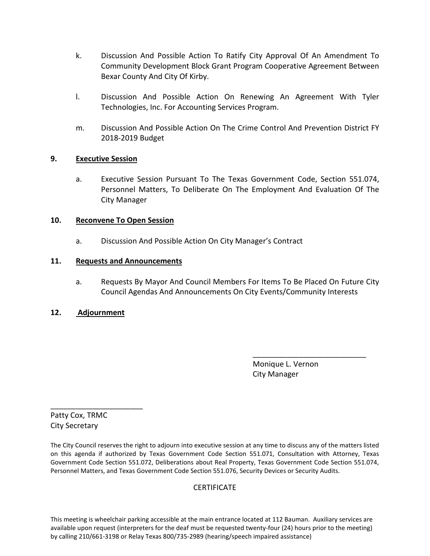- k. Discussion And Possible Action To Ratify City Approval Of An Amendment To Community Development Block Grant Program Cooperative Agreement Between Bexar County And City Of Kirby.
- l. Discussion And Possible Action On Renewing An Agreement With Tyler Technologies, Inc. For Accounting Services Program.
- m. Discussion And Possible Action On The Crime Control And Prevention District FY 2018-2019 Budget

## **9. Executive Session**

a. Executive Session Pursuant To The Texas Government Code, Section 551.074, Personnel Matters, To Deliberate On The Employment And Evaluation Of The City Manager

# **10. Reconvene To Open Session**

a. Discussion And Possible Action On City Manager's Contract

# **11. Requests and Announcements**

a. Requests By Mayor And Council Members For Items To Be Placed On Future City Council Agendas And Announcements On City Events/Community Interests

\_\_\_\_\_\_\_\_\_\_\_\_\_\_\_\_\_\_\_\_\_\_\_\_\_\_\_

## **12. Adjournment**

 Monique L. Vernon City Manager

Patty Cox, TRMC City Secretary

\_\_\_\_\_\_\_\_\_\_\_\_\_\_\_\_\_\_\_\_\_\_

The City Council reserves the right to adjourn into executive session at any time to discuss any of the matters listed on this agenda if authorized by Texas Government Code Section 551.071, Consultation with Attorney, Texas Government Code Section 551.072, Deliberations about Real Property, Texas Government Code Section 551.074, Personnel Matters, and Texas Government Code Section 551.076, Security Devices or Security Audits.

## **CERTIFICATE**

This meeting is wheelchair parking accessible at the main entrance located at 112 Bauman. Auxiliary services are available upon request (interpreters for the deaf must be requested twenty-four (24) hours prior to the meeting) by calling 210/661-3198 or Relay Texas 800/735-2989 (hearing/speech impaired assistance)